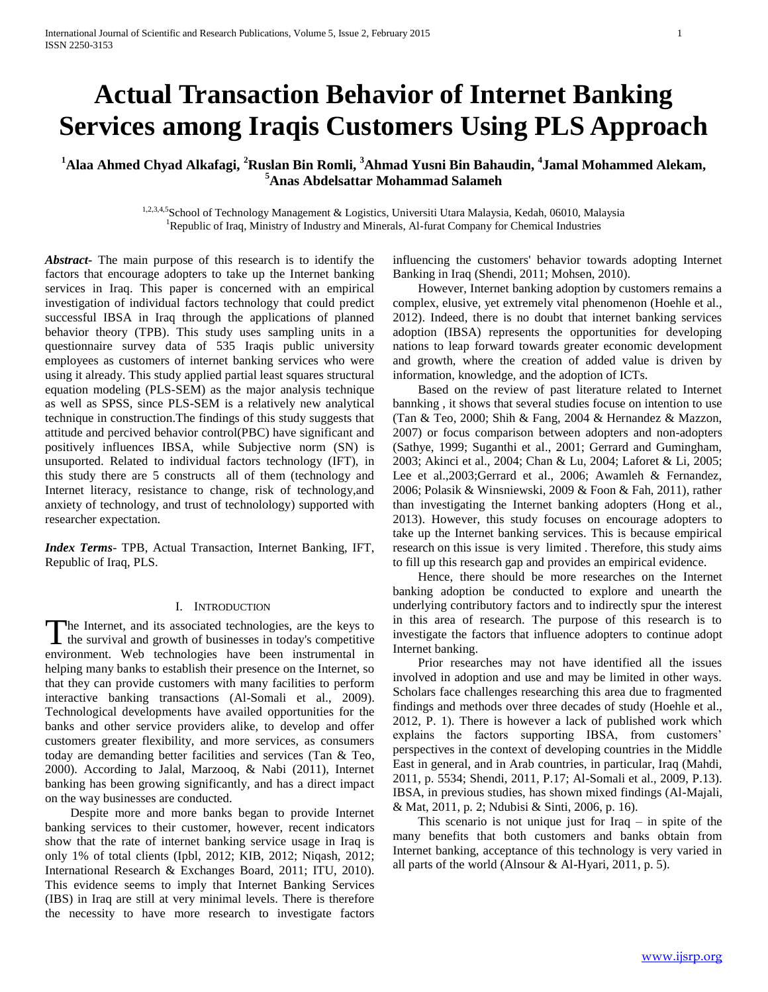# **Actual Transaction Behavior of Internet Banking Services among Iraqis Customers Using PLS Approach**

**<sup>1</sup>Alaa Ahmed Chyad Alkafagi, <sup>2</sup>Ruslan Bin Romli, <sup>3</sup>Ahmad Yusni Bin Bahaudin, <sup>4</sup> Jamal Mohammed Alekam, <sup>5</sup>Anas Abdelsattar Mohammad Salameh**

> 1,2,3,4,5School of Technology Management & Logistics, Universiti Utara Malaysia, Kedah, 06010, Malaysia <sup>1</sup>Republic of Iraq, Ministry of Industry and Minerals, Al-furat Company for Chemical Industries

*Abstract***-** The main purpose of this research is to identify the factors that encourage adopters to take up the Internet banking services in Iraq. This paper is concerned with an empirical investigation of individual factors technology that could predict successful IBSA in Iraq through the applications of planned behavior theory (TPB). This study uses sampling units in a questionnaire survey data of 535 Iraqis public university employees as customers of internet banking services who were using it already. This study applied partial least squares structural equation modeling (PLS-SEM) as the major analysis technique as well as SPSS, since PLS-SEM is a relatively new analytical technique in construction.The findings of this study suggests that attitude and percived behavior control(PBC) have significant and positively influences IBSA, while Subjective norm (SN) is unsuported. Related to individual factors technology (IFT), in this study there are 5 constructs all of them (technology and Internet literacy, resistance to change, risk of technology,and anxiety of technology, and trust of technolology) supported with researcher expectation.

*Index Terms*- TPB, Actual Transaction, Internet Banking, IFT, Republic of Iraq, PLS.

#### I. INTRODUCTION

The Internet, and its associated technologies, are the keys to The Internet, and its associated technologies, are the keys to the survival and growth of businesses in today's competitive environment. Web technologies have been instrumental in helping many banks to establish their presence on the Internet, so that they can provide customers with many facilities to perform interactive banking transactions (Al-Somali et al., 2009). Technological developments have availed opportunities for the banks and other service providers alike, to develop and offer customers greater flexibility, and more services, as consumers today are demanding better facilities and services (Tan & Teo, 2000). According to Jalal, Marzooq, & Nabi (2011), Internet banking has been growing significantly, and has a direct impact on the way businesses are conducted.

 Despite more and more banks began to provide Internet banking services to their customer, however, recent indicators show that the rate of internet banking service usage in Iraq is only 1% of total clients (Ipbl, 2012; KIB, 2012; Niqash, 2012; International Research & Exchanges Board, 2011; ITU, 2010). This evidence seems to imply that Internet Banking Services (IBS) in Iraq are still at very minimal levels. There is therefore the necessity to have more research to investigate factors

influencing the customers' behavior towards adopting Internet Banking in Iraq (Shendi, 2011; Mohsen, 2010).

 However, Internet banking adoption by customers remains a complex, elusive, yet extremely vital phenomenon (Hoehle et al., 2012). Indeed, there is no doubt that internet banking services adoption (IBSA) represents the opportunities for developing nations to leap forward towards greater economic development and growth, where the creation of added value is driven by information, knowledge, and the adoption of ICTs.

 Based on the review of past literature related to Internet bannking , it shows that several studies focuse on intention to use (Tan & Teo, 2000; Shih & Fang, 2004 & Hernandez & Mazzon, 2007) or focus comparison between adopters and non-adopters (Sathye, 1999; Suganthi et al., 2001; Gerrard and Gumingham, 2003; Akinci et al., 2004; Chan & Lu, 2004; Laforet & Li, 2005; Lee et al.,2003;Gerrard et al., 2006; Awamleh & Fernandez, 2006; Polasik & Winsniewski, 2009 & Foon & Fah, 2011), rather than investigating the Internet banking adopters (Hong et al., 2013). However, this study focuses on encourage adopters to take up the Internet banking services. This is because empirical research on this issue is very limited . Therefore, this study aims to fill up this research gap and provides an empirical evidence.

 Hence, there should be more researches on the Internet banking adoption be conducted to explore and unearth the underlying contributory factors and to indirectly spur the interest in this area of research. The purpose of this research is to investigate the factors that influence adopters to continue adopt Internet banking.

 Prior researches may not have identified all the issues involved in adoption and use and may be limited in other ways. Scholars face challenges researching this area due to fragmented findings and methods over three decades of study (Hoehle et al., 2012, P. 1). There is however a lack of published work which explains the factors supporting IBSA, from customers' perspectives in the context of developing countries in the Middle East in general, and in Arab countries, in particular, Iraq (Mahdi, 2011, p. 5534; Shendi, 2011, P.17; Al-Somali et al., 2009, P.13). IBSA, in previous studies, has shown mixed findings (Al-Majali, & Mat, 2011, p. 2; Ndubisi & Sinti, 2006, p. 16).

This scenario is not unique just for Iraq  $-$  in spite of the many benefits that both customers and banks obtain from Internet banking, acceptance of this technology is very varied in all parts of the world (Alnsour & Al-Hyari, 2011, p. 5).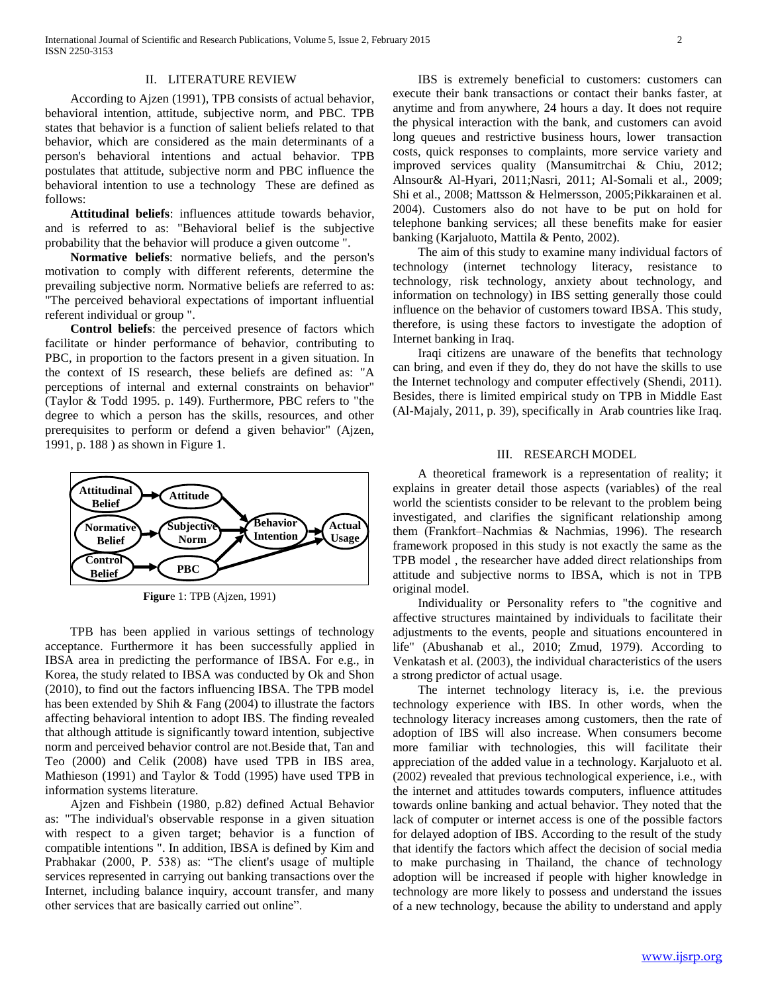#### II. LITERATURE REVIEW

 According to Ajzen (1991), TPB consists of actual behavior, behavioral intention, attitude, subjective norm, and PBC. TPB states that behavior is a function of salient beliefs related to that behavior, which are considered as the main determinants of a person's behavioral intentions and actual behavior. TPB postulates that attitude, subjective norm and PBC influence the behavioral intention to use a technology These are defined as follows:

 **Attitudinal beliefs**: influences attitude towards behavior, and is referred to as: "Behavioral belief is the subjective probability that the behavior will produce a given outcome ".

 **Normative beliefs**: normative beliefs, and the person's motivation to comply with different referents, determine the prevailing subjective norm. Normative beliefs are referred to as: "The perceived behavioral expectations of important influential referent individual or group ".

 **Control beliefs**: the perceived presence of factors which facilitate or hinder performance of behavior, contributing to PBC, in proportion to the factors present in a given situation. In the context of IS research, these beliefs are defined as: "A perceptions of internal and external constraints on behavior" (Taylor & Todd 1995. p. 149). Furthermore, PBC refers to "the degree to which a person has the skills, resources, and other prerequisites to perform or defend a given behavior" (Ajzen, 1991, p. 188 ) as shown in Figure 1.



**Figur**e 1: TPB (Ajzen, 1991)

 TPB has been applied in various settings of technology acceptance. Furthermore it has been successfully applied in IBSA area in predicting the performance of IBSA. For e.g., in Korea, the study related to IBSA was conducted by Ok and Shon (2010), to find out the factors influencing IBSA. The TPB model has been extended by Shih & Fang (2004) to illustrate the factors affecting behavioral intention to adopt IBS. The finding revealed that although attitude is significantly toward intention, subjective norm and perceived behavior control are not.Beside that, Tan and Teo (2000) and Celik (2008) have used TPB in IBS area, Mathieson (1991) and Taylor & Todd (1995) have used TPB in information systems literature.

 Ajzen and Fishbein (1980, p.82) defined Actual Behavior as: "The individual's observable response in a given situation with respect to a given target; behavior is a function of compatible intentions ". In addition, IBSA is defined by Kim and Prabhakar (2000, P. 538) as: "The client's usage of multiple services represented in carrying out banking transactions over the Internet, including balance inquiry, account transfer, and many other services that are basically carried out online".

 IBS is extremely beneficial to customers: customers can execute their bank transactions or contact their banks faster, at anytime and from anywhere, 24 hours a day. It does not require the physical interaction with the bank, and customers can avoid long queues and restrictive business hours, lower transaction costs, quick responses to complaints, more service variety and improved services quality (Mansumitrchai & Chiu, 2012; Alnsour& Al-Hyari, 2011;Nasri, 2011; Al-Somali et al., 2009; Shi et al., 2008; Mattsson & Helmersson, 2005;Pikkarainen et al. 2004). Customers also do not have to be put on hold for telephone banking services; all these benefits make for easier banking (Karjaluoto, Mattila & Pento, 2002).

 The aim of this study to examine many individual factors of technology (internet technology literacy, resistance to technology, risk technology, anxiety about technology, and information on technology) in IBS setting generally those could influence on the behavior of customers toward IBSA. This study, therefore, is using these factors to investigate the adoption of Internet banking in Iraq.

 Iraqi citizens are unaware of the benefits that technology can bring, and even if they do, they do not have the skills to use the Internet technology and computer effectively (Shendi, 2011). Besides, there is limited empirical study on TPB in Middle East (Al-Majaly, 2011, p. 39), specifically in Arab countries like Iraq.

### III. RESEARCH MODEL

 A theoretical framework is a representation of reality; it explains in greater detail those aspects (variables) of the real world the scientists consider to be relevant to the problem being investigated, and clarifies the significant relationship among them (Frankfort–Nachmias & Nachmias, 1996). The research framework proposed in this study is not exactly the same as the TPB model , the researcher have added direct relationships from attitude and subjective norms to IBSA, which is not in TPB original model.

 Individuality or Personality refers to "the cognitive and affective structures maintained by individuals to facilitate their adjustments to the events, people and situations encountered in life" (Abushanab et al., 2010; Zmud, 1979). According to Venkatash et al. (2003), the individual characteristics of the users a strong predictor of actual usage.

 The internet technology literacy is, i.e. the previous technology experience with IBS. In other words, when the technology literacy increases among customers, then the rate of adoption of IBS will also increase. When consumers become more familiar with technologies, this will facilitate their appreciation of the added value in a technology. Karjaluoto et al. (2002) revealed that previous technological experience, i.e., with the internet and attitudes towards computers, influence attitudes towards online banking and actual behavior. They noted that the lack of computer or internet access is one of the possible factors for delayed adoption of IBS. According to the result of the study that identify the factors which affect the decision of social media to make purchasing in Thailand, the chance of technology adoption will be increased if people with higher knowledge in technology are more likely to possess and understand the issues of a new technology, because the ability to understand and apply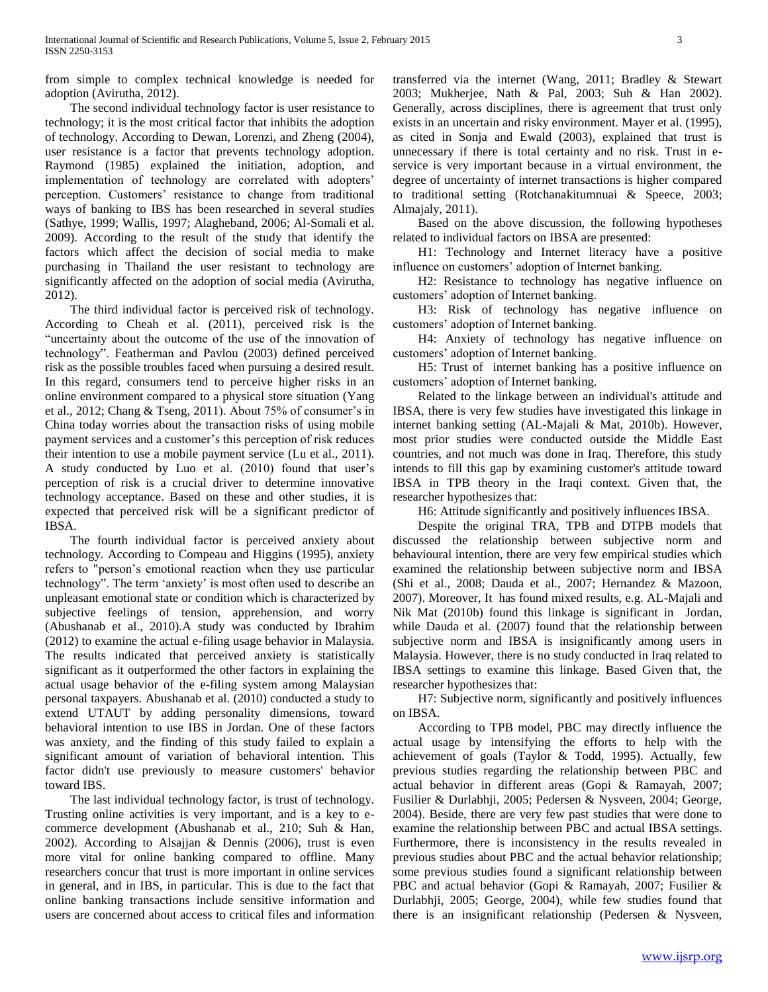from simple to complex technical knowledge is needed for adoption (Avirutha, 2012).

 The second individual technology factor is user resistance to technology; it is the most critical factor that inhibits the adoption of technology. According to Dewan, Lorenzi, and Zheng (2004), user resistance is a factor that prevents technology adoption. Raymond (1985) explained the initiation, adoption, and implementation of technology are correlated with adopters' perception. Customers' resistance to change from traditional ways of banking to IBS has been researched in several studies (Sathye, 1999; Wallis, 1997; Alagheband, 2006; Al-Somali et al. 2009). According to the result of the study that identify the factors which affect the decision of social media to make purchasing in Thailand the user resistant to technology are significantly affected on the adoption of social media (Avirutha, 2012).

 The third individual factor is perceived risk of technology. According to Cheah et al. (2011), perceived risk is the "uncertainty about the outcome of the use of the innovation of technology". Featherman and Pavlou (2003) defined perceived risk as the possible troubles faced when pursuing a desired result. In this regard, consumers tend to perceive higher risks in an online environment compared to a physical store situation (Yang et al., 2012; Chang & Tseng, 2011). About 75% of consumer's in China today worries about the transaction risks of using mobile payment services and a customer's this perception of risk reduces their intention to use a mobile payment service (Lu et al., 2011). A study conducted by Luo et al. (2010) found that user's perception of risk is a crucial driver to determine innovative technology acceptance. Based on these and other studies, it is expected that perceived risk will be a significant predictor of IBSA.

 The fourth individual factor is perceived anxiety about technology. According to Compeau and Higgins (1995), anxiety refers to "person's emotional reaction when they use particular technology". The term 'anxiety' is most often used to describe an unpleasant emotional state or condition which is characterized by subjective feelings of tension, apprehension, and worry (Abushanab et al., 2010).A study was conducted by Ibrahim (2012) to examine the actual e-filing usage behavior in Malaysia. The results indicated that perceived anxiety is statistically significant as it outperformed the other factors in explaining the actual usage behavior of the e-filing system among Malaysian personal taxpayers. Abushanab et al. (2010) conducted a study to extend UTAUT by adding personality dimensions, toward behavioral intention to use IBS in Jordan. One of these factors was anxiety, and the finding of this study failed to explain a significant amount of variation of behavioral intention. This factor didn't use previously to measure customers' behavior toward IBS.

 The last individual technology factor, is trust of technology. Trusting online activities is very important, and is a key to ecommerce development (Abushanab et al., 210; Suh & Han, 2002). According to Alsajjan & Dennis (2006), trust is even more vital for online banking compared to offline. Many researchers concur that trust is more important in online services in general, and in IBS, in particular. This is due to the fact that online banking transactions include sensitive information and users are concerned about access to critical files and information

transferred via the internet (Wang, 2011; Bradley & Stewart 2003; Mukherjee, Nath & Pal, 2003; Suh & Han 2002). Generally, across disciplines, there is agreement that trust only exists in an uncertain and risky environment. Mayer et al. (1995), as cited in Sonja and Ewald (2003), explained that trust is unnecessary if there is total certainty and no risk. Trust in eservice is very important because in a virtual environment, the degree of uncertainty of internet transactions is higher compared to traditional setting (Rotchanakitumnuai & Speece, 2003; Almajaly, 2011).

 Based on the above discussion, the following hypotheses related to individual factors on IBSA are presented:

 H1: Technology and Internet literacy have a positive influence on customers' adoption of Internet banking.

 H2: Resistance to technology has negative influence on customers' adoption of Internet banking.

 H3: Risk of technology has negative influence on customers' adoption of Internet banking.

 H4: Anxiety of technology has negative influence on customers' adoption of Internet banking.

 H5: Trust of internet banking has a positive influence on customers' adoption of Internet banking.

 Related to the linkage between an individual's attitude and IBSA, there is very few studies have investigated this linkage in internet banking setting (AL-Majali & Mat, 2010b). However, most prior studies were conducted outside the Middle East countries, and not much was done in Iraq. Therefore, this study intends to fill this gap by examining customer's attitude toward IBSA in TPB theory in the Iraqi context. Given that, the researcher hypothesizes that:

H6: Attitude significantly and positively influences IBSA.

 Despite the original TRA, TPB and DTPB models that discussed the relationship between subjective norm and behavioural intention, there are very few empirical studies which examined the relationship between subjective norm and IBSA (Shi et al., 2008; Dauda et al., 2007; Hernandez & Mazoon, 2007). Moreover, It has found mixed results, e.g. AL-Majali and Nik Mat (2010b) found this linkage is significant in Jordan, while Dauda et al. (2007) found that the relationship between subjective norm and IBSA is insignificantly among users in Malaysia. However, there is no study conducted in Iraq related to IBSA settings to examine this linkage. Based Given that, the researcher hypothesizes that:

 H7: Subjective norm, significantly and positively influences on IBSA.

 According to TPB model, PBC may directly influence the actual usage by intensifying the efforts to help with the achievement of goals (Taylor & Todd, 1995). Actually, few previous studies regarding the relationship between PBC and actual behavior in different areas (Gopi & Ramayah, 2007; Fusilier & Durlabhji, 2005; Pedersen & Nysveen, 2004; George, 2004). Beside, there are very few past studies that were done to examine the relationship between PBC and actual IBSA settings. Furthermore, there is inconsistency in the results revealed in previous studies about PBC and the actual behavior relationship; some previous studies found a significant relationship between PBC and actual behavior (Gopi & Ramayah, 2007; Fusilier & Durlabhji, 2005; George, 2004), while few studies found that there is an insignificant relationship (Pedersen & Nysveen,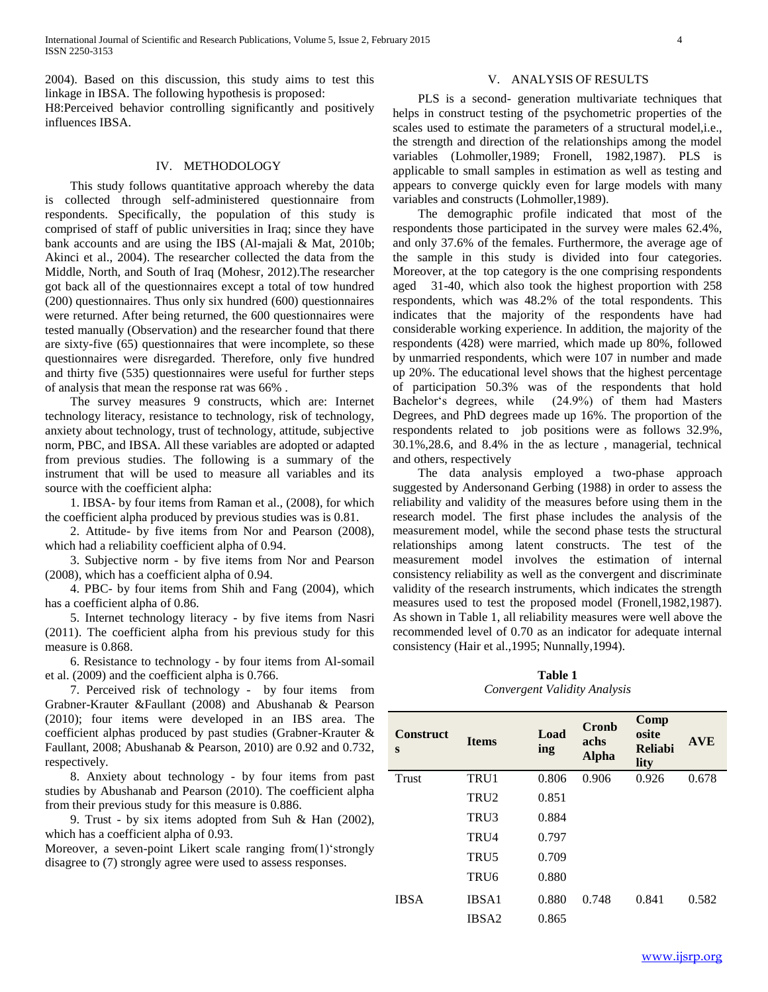2004). Based on this discussion, this study aims to test this linkage in IBSA. The following hypothesis is proposed:

H8:Perceived behavior controlling significantly and positively influences IBSA.

#### IV. METHODOLOGY

 This study follows quantitative approach whereby the data is collected through self-administered questionnaire from respondents. Specifically, the population of this study is comprised of staff of public universities in Iraq; since they have bank accounts and are using the IBS (Al-majali & Mat, 2010b; Akinci et al., 2004). The researcher collected the data from the Middle, North, and South of Iraq (Mohesr, 2012).The researcher got back all of the questionnaires except a total of tow hundred (200) questionnaires. Thus only six hundred (600) questionnaires were returned. After being returned, the 600 questionnaires were tested manually (Observation) and the researcher found that there are sixty-five (65) questionnaires that were incomplete, so these questionnaires were disregarded. Therefore, only five hundred and thirty five (535) questionnaires were useful for further steps of analysis that mean the response rat was 66% .

 The survey measures 9 constructs, which are: Internet technology literacy, resistance to technology, risk of technology, anxiety about technology, trust of technology, attitude, subjective norm, PBC, and IBSA. All these variables are adopted or adapted from previous studies. The following is a summary of the instrument that will be used to measure all variables and its source with the coefficient alpha:

 1. IBSA- by four items from Raman et al., (2008), for which the coefficient alpha produced by previous studies was is 0.81.

 2. Attitude- by five items from Nor and Pearson (2008), which had a reliability coefficient alpha of 0.94.

 3. Subjective norm - by five items from Nor and Pearson (2008), which has a coefficient alpha of 0.94.

 4. PBC- by four items from Shih and Fang (2004), which has a coefficient alpha of 0.86.

 5. Internet technology literacy - by five items from Nasri (2011). The coefficient alpha from his previous study for this measure is 0.868.

 6. Resistance to technology - by four items from Al-somail et al. (2009) and the coefficient alpha is 0.766.

 7. Perceived risk of technology - by four items from Grabner-Krauter &Faullant (2008) and Abushanab & Pearson (2010); four items were developed in an IBS area. The coefficient alphas produced by past studies (Grabner-Krauter & Faullant, 2008; Abushanab & Pearson, 2010) are 0.92 and 0.732, respectively.

 8. Anxiety about technology - by four items from past studies by Abushanab and Pearson (2010). The coefficient alpha from their previous study for this measure is 0.886.

 9. Trust - by six items adopted from Suh & Han (2002), which has a coefficient alpha of 0.93.

Moreover, a seven-point Likert scale ranging from(1)'strongly disagree to (7) strongly agree were used to assess responses.

#### V. ANALYSIS OF RESULTS

 PLS is a second- generation multivariate techniques that helps in construct testing of the psychometric properties of the scales used to estimate the parameters of a structural model,i.e., the strength and direction of the relationships among the model variables (Lohmoller,1989; Fronell, 1982,1987). PLS is applicable to small samples in estimation as well as testing and appears to converge quickly even for large models with many variables and constructs (Lohmoller,1989).

 The demographic profile indicated that most of the respondents those participated in the survey were males 62.4%, and only 37.6% of the females. Furthermore, the average age of the sample in this study is divided into four categories. Moreover, at the top category is the one comprising respondents aged 31-40, which also took the highest proportion with 258 respondents, which was 48.2% of the total respondents. This indicates that the majority of the respondents have had considerable working experience. In addition, the majority of the respondents (428) were married, which made up 80%, followed by unmarried respondents, which were 107 in number and made up 20%. The educational level shows that the highest percentage of participation 50.3% was of the respondents that hold Bachelor's degrees, while (24.9%) of them had Masters Degrees, and PhD degrees made up 16%. The proportion of the respondents related to job positions were as follows 32.9%, 30.1%,28.6, and 8.4% in the as lecture , managerial, technical and others, respectively

 The data analysis employed a two-phase approach suggested by Andersonand Gerbing (1988) in order to assess the reliability and validity of the measures before using them in the research model. The first phase includes the analysis of the measurement model, while the second phase tests the structural relationships among latent constructs. The test of the measurement model involves the estimation of internal consistency reliability as well as the convergent and discriminate validity of the research instruments, which indicates the strength measures used to test the proposed model (Fronell,1982,1987). As shown in Table 1, all reliability measures were well above the recommended level of 0.70 as an indicator for adequate internal consistency (Hair et al.,1995; Nunnally,1994).

**Table 1** *Convergent Validity Analysis*

| <b>Construct</b><br>S | <b>Items</b>      | Load<br>ing | Cronb<br>achs<br><b>Alpha</b> | Comp<br>osite<br><b>Reliabi</b><br>lity | <b>AVE</b> |
|-----------------------|-------------------|-------------|-------------------------------|-----------------------------------------|------------|
| <b>Trust</b>          | TRU1              | 0.806       | 0.906                         | 0.926                                   | 0.678      |
|                       | TRU <sub>2</sub>  | 0.851       |                               |                                         |            |
|                       | TRU3              | 0.884       |                               |                                         |            |
|                       | TRU4              | 0.797       |                               |                                         |            |
|                       | TRU5              | 0.709       |                               |                                         |            |
|                       | TRU <sub>6</sub>  | 0.880       |                               |                                         |            |
| <b>IBSA</b>           | IBSA1             | 0.880       | 0.748                         | 0.841                                   | 0.582      |
|                       | IBSA <sub>2</sub> | 0.865       |                               |                                         |            |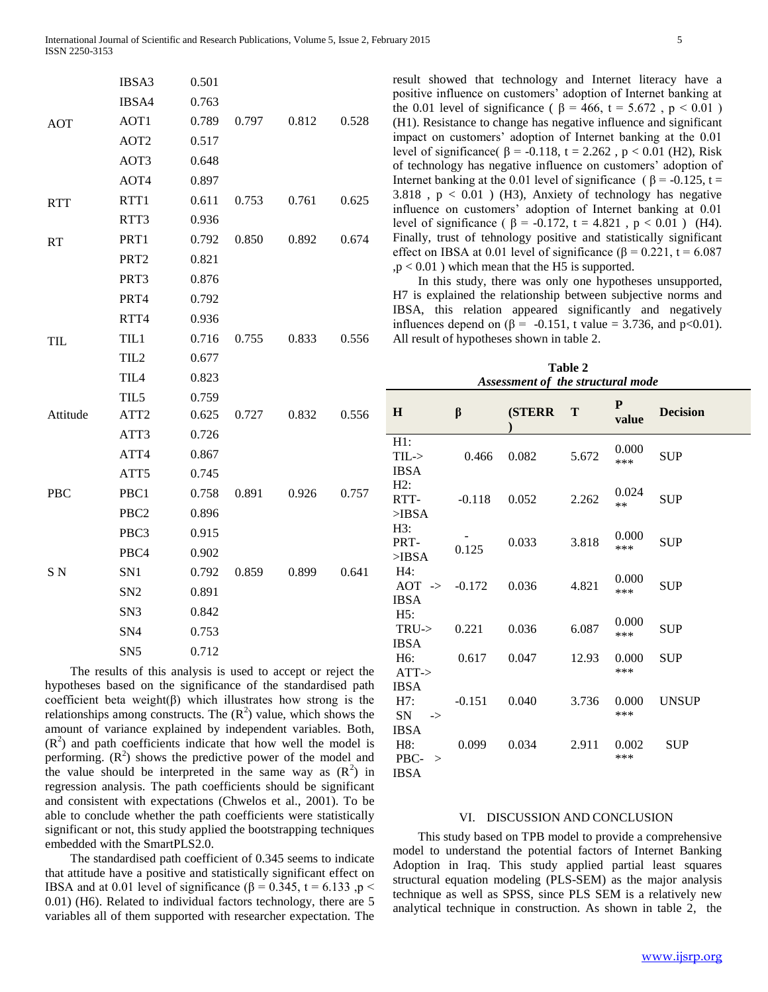|            | IBSA3            | 0.501 |       |       |       |
|------------|------------------|-------|-------|-------|-------|
| <b>AOT</b> | IBSA4            | 0.763 |       |       |       |
|            | AOT1             | 0.789 | 0.797 | 0.812 | 0.528 |
|            | AOT <sub>2</sub> | 0.517 |       |       |       |
|            | AOT3             | 0.648 |       |       |       |
|            | AOT4             | 0.897 |       |       |       |
| <b>RTT</b> | RTT1             | 0.611 | 0.753 | 0.761 | 0.625 |
|            | RTT3             | 0.936 |       |       |       |
| RT         | PRT1             | 0.792 | 0.850 | 0.892 | 0.674 |
|            | PRT <sub>2</sub> | 0.821 |       |       |       |
|            | PRT3             | 0.876 |       |       |       |
|            | PRT4             | 0.792 |       |       |       |
|            | RTT4             | 0.936 |       |       |       |
| TIL        | TIL1             | 0.716 | 0.755 | 0.833 | 0.556 |
|            | TIL <sub>2</sub> | 0.677 |       |       |       |
|            | TIL <sub>4</sub> | 0.823 |       |       |       |
|            | TIL5             | 0.759 |       |       |       |
| Attitude   | ATT <sub>2</sub> | 0.625 | 0.727 | 0.832 | 0.556 |
|            | ATT3             | 0.726 |       |       |       |
|            | ATT4             | 0.867 |       |       |       |
|            | ATT5             | 0.745 |       |       |       |
| PBC        | PBC1             | 0.758 | 0.891 | 0.926 | 0.757 |
|            | PBC <sub>2</sub> | 0.896 |       |       |       |
|            | PBC3             | 0.915 |       |       |       |
|            | PBC4             | 0.902 |       |       |       |
| SN         | SN1              | 0.792 | 0.859 | 0.899 | 0.641 |
|            | SN <sub>2</sub>  | 0.891 |       |       |       |
|            | SN <sub>3</sub>  | 0.842 |       |       |       |
|            | SN <sub>4</sub>  | 0.753 |       |       |       |
|            | SN <sub>5</sub>  | 0.712 |       |       |       |
|            |                  |       |       |       |       |

 The results of this analysis is used to accept or reject the hypotheses based on the significance of the standardised path coefficient beta weight(β) which illustrates how strong is the relationships among constructs. The  $(R^2)$  value, which shows the amount of variance explained by independent variables. Both,  $(R<sup>2</sup>)$  and path coefficients indicate that how well the model is performing.  $(R^2)$  shows the predictive power of the model and the value should be interpreted in the same way as  $(R^2)$  in regression analysis. The path coefficients should be significant and consistent with expectations (Chwelos et al., 2001). To be able to conclude whether the path coefficients were statistically significant or not, this study applied the bootstrapping techniques embedded with the SmartPLS2.0.

 The standardised path coefficient of 0.345 seems to indicate that attitude have a positive and statistically significant effect on IBSA and at 0.01 level of significance (β = 0.345, t = 6.133 ,p < 0.01) (H6). Related to individual factors technology, there are 5 variables all of them supported with researcher expectation. The

result showed that technology and Internet literacy have a positive influence on customers' adoption of Internet banking at the 0.01 level of significance ( $β = 466$ , t = 5.672, p < 0.01) (H1). Resistance to change has negative influence and significant impact on customers' adoption of Internet banking at the 0.01 level of significance( $β = -0.118$ , t = 2.262, p < 0.01 (H2), Risk of technology has negative influence on customers' adoption of Internet banking at the 0.01 level of significance ( $\beta$  = -0.125, t = 3.818,  $p < 0.01$ ) (H3), Anxiety of technology has negative influence on customers' adoption of Internet banking at 0.01 level of significance ( $β = -0.172$ , t = 4.821, p < 0.01) (H4). Finally, trust of tehnology positive and statistically significant effect on IBSA at 0.01 level of significance ( $\beta$  = 0.221, t = 6.087  $,p < 0.01$ ) which mean that the H5 is supported.

 In this study, there was only one hypotheses unsupported, H7 is explained the relationship between subjective norms and IBSA, this relation appeared significantly and negatively influences depend on (β = -0.151, t value = 3.736, and p<0.01). All result of hypotheses shown in table 2.

**Table 2** *Assessment of the structural mode*

| $\bf H$                                 | β        | (STERR T |       | P<br>value | <b>Decision</b> |
|-----------------------------------------|----------|----------|-------|------------|-----------------|
| H1:                                     |          |          |       | 0.000      |                 |
| $TIL$ ->                                | 0.466    | 0.082    | 5.672 | ***        | <b>SUP</b>      |
| <b>IBSA</b>                             |          |          |       |            |                 |
| H2:                                     |          |          |       | 0.024      |                 |
| RTT-                                    | $-0.118$ | 0.052    | 2.262 | **         | <b>SUP</b>      |
| $>$ IBSA                                |          |          |       |            |                 |
| H3:                                     |          |          |       | 0.000      |                 |
| PRT-                                    | 0.125    | 0.033    | 3.818 | ***        | <b>SUP</b>      |
| $>$ IBSA                                |          |          |       |            |                 |
| H4:                                     |          |          |       | 0.000      |                 |
| $AOT \rightarrow -0.172$<br><b>IBSA</b> |          | 0.036    | 4.821 | ***        | <b>SUP</b>      |
| H5:                                     |          |          |       |            |                 |
| $TRU$ ->                                | 0.221    | 0.036    | 6.087 | 0.000      | <b>SUP</b>      |
| <b>IBSA</b>                             |          |          |       | ***        |                 |
| H <sub>6</sub> :                        | 0.617    | 0.047    | 12.93 | 0.000      | <b>SUP</b>      |
| $ATT$ ->                                |          |          |       | ***        |                 |
| <b>IBSA</b>                             |          |          |       |            |                 |
| H7:                                     | $-0.151$ | 0.040    | 3.736 | 0.000      | <b>UNSUP</b>    |
| <b>SN</b><br>$\rightarrow$              |          |          |       | ***        |                 |
| <b>IBSA</b>                             |          |          |       |            |                 |
| H8:                                     | 0.099    | 0.034    | 2.911 | 0.002      | <b>SUP</b>      |
| PBC-<br>$\geq$                          |          |          |       | ***        |                 |
| <b>IBSA</b>                             |          |          |       |            |                 |

#### VI. DISCUSSION AND CONCLUSION

 This study based on TPB model to provide a comprehensive model to understand the potential factors of Internet Banking Adoption in Iraq. This study applied partial least squares structural equation modeling (PLS-SEM) as the major analysis technique as well as SPSS, since PLS SEM is a relatively new analytical technique in construction. As shown in table 2, the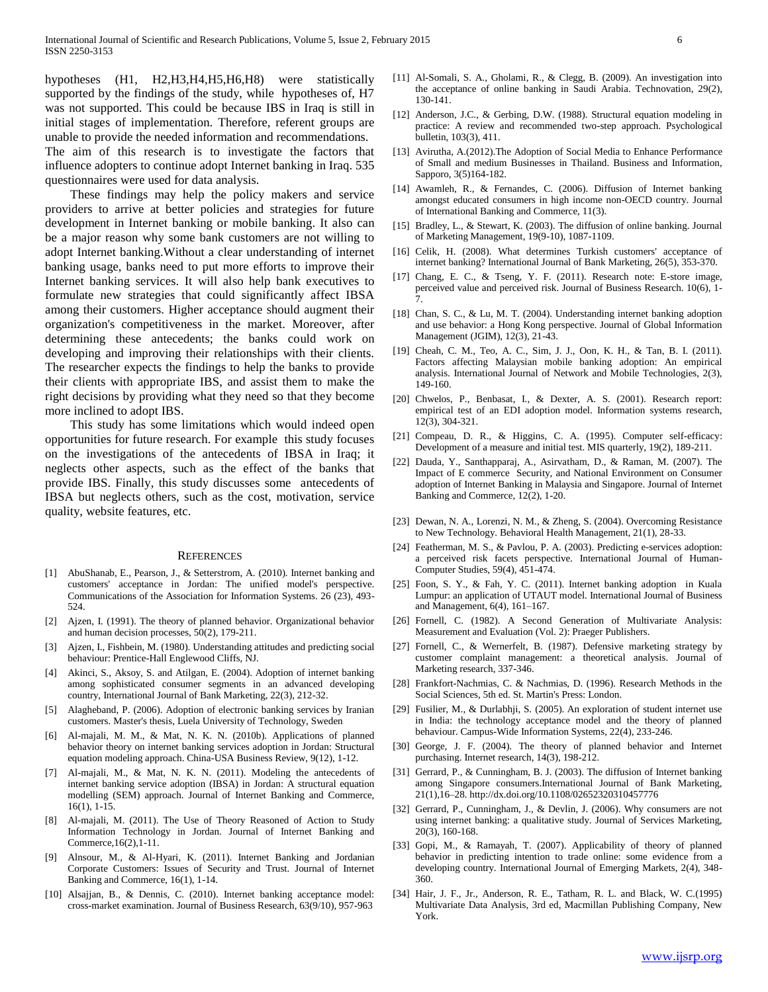hypotheses (H1, H2,H3,H4,H5,H6,H8) were statistically supported by the findings of the study, while hypotheses of, H7 was not supported. This could be because IBS in Iraq is still in initial stages of implementation. Therefore, referent groups are unable to provide the needed information and recommendations. The aim of this research is to investigate the factors that influence adopters to continue adopt Internet banking in Iraq. 535 questionnaires were used for data analysis.

 These findings may help the policy makers and service providers to arrive at better policies and strategies for future development in Internet banking or mobile banking. It also can be a major reason why some bank customers are not willing to adopt Internet banking.Without a clear understanding of internet banking usage, banks need to put more efforts to improve their Internet banking services. It will also help bank executives to formulate new strategies that could significantly affect IBSA among their customers. Higher acceptance should augment their organization's competitiveness in the market. Moreover, after determining these antecedents; the banks could work on developing and improving their relationships with their clients. The researcher expects the findings to help the banks to provide their clients with appropriate IBS, and assist them to make the right decisions by providing what they need so that they become more inclined to adopt IBS.

 This study has some limitations which would indeed open opportunities for future research. For example this study focuses on the investigations of the antecedents of IBSA in Iraq; it neglects other aspects, such as the effect of the banks that provide IBS. Finally, this study discusses some antecedents of IBSA but neglects others, such as the cost, motivation, service quality, website features, etc.

#### **REFERENCES**

- [1] AbuShanab, E., Pearson, J., & Setterstrom, A. (2010). Internet banking and customers' acceptance in Jordan: The unified model's perspective. Communications of the Association for Information Systems. 26 (23), 493- 524.
- [2] Ajzen, I. (1991). The theory of planned behavior. Organizational behavior and human decision processes, 50(2), 179-211.
- [3] Ajzen, I., Fishbein, M. (1980). Understanding attitudes and predicting social behaviour: Prentice-Hall Englewood Cliffs, NJ.
- [4] Akinci, S., Aksoy, S. and Atilgan, E. (2004). Adoption of internet banking among sophisticated consumer segments in an advanced developing country, International Journal of Bank Marketing, 22(3), 212-32.
- [5] Alagheband, P. (2006). Adoption of electronic banking services by Iranian customers. Master's thesis, Luela University of Technology, Sweden
- [6] Al-majali, M. M., & Mat, N. K. N. (2010b). Applications of planned behavior theory on internet banking services adoption in Jordan: Structural equation modeling approach. China-USA Business Review, 9(12), 1-12.
- [7] Al-majali, M., & Mat, N. K. N. (2011). Modeling the antecedents of internet banking service adoption (IBSA) in Jordan: A structural equation modelling (SEM) approach. Journal of Internet Banking and Commerce, 16(1), 1-15.
- [8] Al-majali, M. (2011). The Use of Theory Reasoned of Action to Study Information Technology in Jordan. Journal of Internet Banking and Commerce,16(2),1-11.
- [9] Alnsour, M., & Al-Hyari, K. (2011). Internet Banking and Jordanian Corporate Customers: Issues of Security and Trust. Journal of Internet Banking and Commerce, 16(1), 1-14.
- [10] Alsajjan, B., & Dennis, C. (2010). Internet banking acceptance model: cross-market examination. Journal of Business Research, 63(9/10), 957-963
- [11] Al-Somali, S. A., Gholami, R., & Clegg, B. (2009). An investigation into the acceptance of online banking in Saudi Arabia. Technovation, 29(2), 130-141.
- [12] Anderson, J.C., & Gerbing, D.W. (1988). Structural equation modeling in practice: A review and recommended two-step approach. Psychological bulletin, 103(3), 411.
- [13] Avirutha, A.(2012).The Adoption of Social Media to Enhance Performance of Small and medium Businesses in Thailand. Business and Information, Sapporo, 3(5)164-182.
- [14] Awamleh, R., & Fernandes, C. (2006). Diffusion of Internet banking amongst educated consumers in high income non-OECD country. Journal of International Banking and Commerce, 11(3).
- [15] Bradley, L., & Stewart, K. (2003). The diffusion of online banking. Journal of Marketing Management, 19(9-10), 1087-1109.
- [16] Celik, H. (2008). What determines Turkish customers' acceptance of internet banking? International Journal of Bank Marketing, 26(5), 353-370.
- [17] Chang, E. C., & Tseng, Y. F. (2011). Research note: E-store image, perceived value and perceived risk. Journal of Business Research. 10(6), 1- 7.
- [18] Chan, S. C., & Lu, M. T. (2004). Understanding internet banking adoption and use behavior: a Hong Kong perspective. Journal of Global Information Management (JGIM), 12(3), 21-43.
- [19] Cheah, C. M., Teo, A. C., Sim, J. J., Oon, K. H., & Tan, B. I. (2011). Factors affecting Malaysian mobile banking adoption: An empirical analysis. International Journal of Network and Mobile Technologies, 2(3), 149-160.
- [20] Chwelos, P., Benbasat, I., & Dexter, A. S. (2001). Research report: empirical test of an EDI adoption model. Information systems research, 12(3), 304-321.
- [21] Compeau, D. R., & Higgins, C. A. (1995). Computer self-efficacy: Development of a measure and initial test. MIS quarterly, 19(2), 189-211.
- [22] Dauda, Y., Santhapparaj, A., Asirvatham, D., & Raman, M. (2007). The Impact of E commerce Security, and National Environment on Consumer adoption of Internet Banking in Malaysia and Singapore. Journal of Internet Banking and Commerce, 12(2), 1-20.
- [23] Dewan, N. A., Lorenzi, N. M., & Zheng, S. (2004). Overcoming Resistance to New Technology. Behavioral Health Management, 21(1), 28-33.
- [24] Featherman, M. S., & Pavlou, P. A. (2003). Predicting e-services adoption: a perceived risk facets perspective. International Journal of Human-Computer Studies, 59(4), 451-474.
- [25] Foon, S. Y., & Fah, Y. C. (2011). Internet banking adoption in Kuala Lumpur: an application of UTAUT model. International Journal of Business and Management, 6(4), 161–167.
- [26] Fornell, C. (1982). A Second Generation of Multivariate Analysis: Measurement and Evaluation (Vol. 2): Praeger Publishers.
- [27] Fornell, C., & Wernerfelt, B. (1987). Defensive marketing strategy by customer complaint management: a theoretical analysis. Journal of Marketing research, 337-346.
- [28] Frankfort-Nachmias, C. & Nachmias, D. (1996). Research Methods in the Social Sciences, 5th ed. St. Martin's Press: London.
- [29] Fusilier, M., & Durlabhji, S. (2005). An exploration of student internet use in India: the technology acceptance model and the theory of planned behaviour. Campus-Wide Information Systems, 22(4), 233-246.
- [30] George, J. F. (2004). The theory of planned behavior and Internet purchasing. Internet research, 14(3), 198-212.
- [31] Gerrard, P., & Cunningham, B. J. (2003). The diffusion of Internet banking among Singapore consumers.International Journal of Bank Marketing, 21(1),16–28. http://dx.doi.org/10.1108/02652320310457776
- [32] Gerrard, P., Cunningham, J., & Devlin, J. (2006). Why consumers are not using internet banking: a qualitative study. Journal of Services Marketing, 20(3), 160-168.
- [33] Gopi, M., & Ramayah, T. (2007). Applicability of theory of planned behavior in predicting intention to trade online: some evidence from a developing country. International Journal of Emerging Markets, 2(4), 348- 360.
- [34] Hair, J. F., Jr., Anderson, R. E., Tatham, R. L. and Black, W. C.(1995) Multivariate Data Analysis, 3rd ed, Macmillan Publishing Company, New York.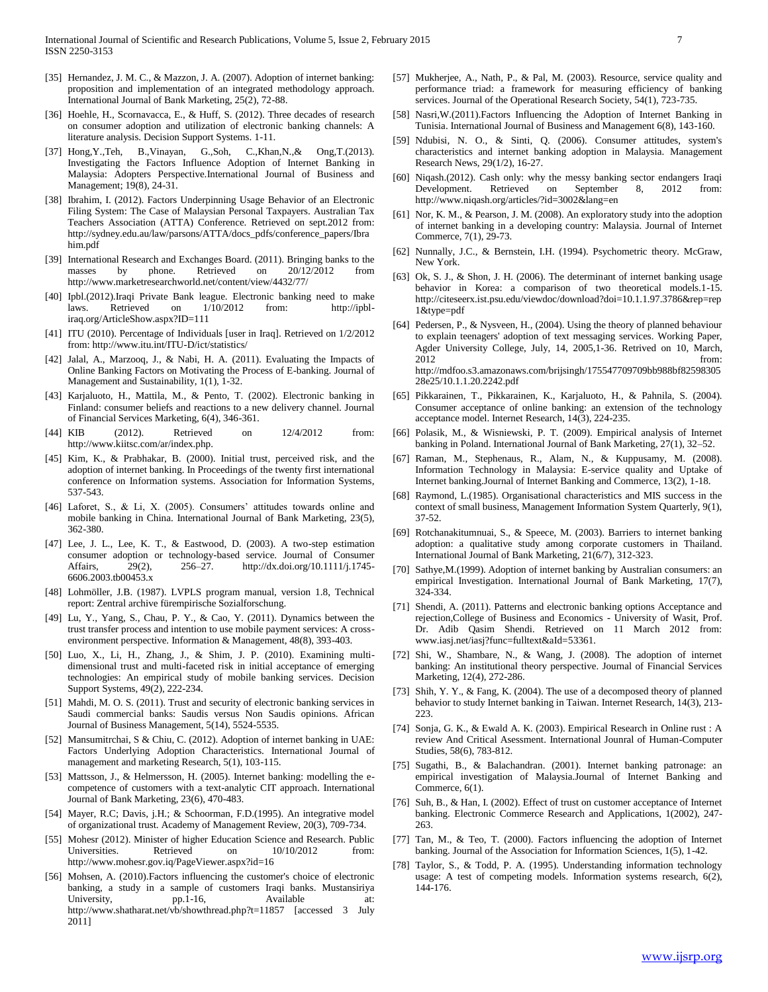- [35] Hernandez, J. M. C., & Mazzon, J. A. (2007). Adoption of internet banking: proposition and implementation of an integrated methodology approach. International Journal of Bank Marketing, 25(2), 72-88.
- [36] Hoehle, H., Scornavacca, E., & Huff, S. (2012). Three decades of research on consumer adoption and utilization of electronic banking channels: A literature analysis. Decision Support Systems. 1-11.
- [37] Hong,Y.,Teh, B.,Vinayan, G.,Soh, C.,Khan,N.,& Ong,T.(2013). Investigating the Factors Influence Adoption of Internet Banking in Malaysia: Adopters Perspective.International Journal of Business and Management; 19(8), 24-31.
- [38] Ibrahim, I. (2012). Factors Underpinning Usage Behavior of an Electronic Filing System: The Case of Malaysian Personal Taxpayers. Australian Tax Teachers Association (ATTA) Conference. Retrieved on sept.2012 from: http://sydney.edu.au/law/parsons/ATTA/docs\_pdfs/conference\_papers/Ibra him.pdf
- [39] International Research and Exchanges Board. (2011). Bringing banks to the masses by phone. Retrieved on 20/12/2012 from http://www.marketresearchworld.net/content/view/4432/77/
- [40] Ipbl.(2012).Iraqi Private Bank league. Electronic banking need to make laws. Retrieved on  $1/10/2012$  from: iraq.org/ArticleShow.aspx?ID=111
- [41] ITU (2010). Percentage of Individuals [user in Iraq]. Retrieved on  $1/2/2012$ from: http://www.itu.int/ITU-D/ict/statistics/
- [42] Jalal, A., Marzooq, J., & Nabi, H. A. (2011). Evaluating the Impacts of Online Banking Factors on Motivating the Process of E-banking. Journal of Management and Sustainability, 1(1), 1-32.
- [43] Karjaluoto, H., Mattila, M., & Pento, T. (2002). Electronic banking in Finland: consumer beliefs and reactions to a new delivery channel. Journal of Financial Services Marketing, 6(4), 346-361.
- [44] KIB (2012). Retrieved on  $12/4/2012$  from: http://www.kiitsc.com/ar/index.php.
- [45] Kim, K., & Prabhakar, B. (2000). Initial trust, perceived risk, and the adoption of internet banking. In Proceedings of the twenty first international conference on Information systems. Association for Information Systems, 537-543.
- [46] Laforet, S., & Li, X. (2005). Consumers' attitudes towards online and mobile banking in China. International Journal of Bank Marketing, 23(5), 362-380.
- [47] Lee, J. L., Lee, K. T., & Eastwood, D. (2003). A two-step estimation consumer adoption or technology-based service. Journal of Consumer Affairs,  $29(2)$ ,  $256-27$ . http://dx.doi.org/10.1111/j.1745-Affairs, 29(2), 256–27. http://dx.doi.org/10.1111/j.1745- 6606.2003.tb00453.x
- [48] Lohmöller, J.B. (1987). LVPLS program manual, version 1.8, Technical report: Zentral archive fürempirische Sozialforschung.
- [49] Lu, Y., Yang, S., Chau, P. Y., & Cao, Y. (2011). Dynamics between the trust transfer process and intention to use mobile payment services: A crossenvironment perspective. Information & Management, 48(8), 393-403.
- [50] Luo, X., Li, H., Zhang, J., & Shim, J. P. (2010). Examining multidimensional trust and multi-faceted risk in initial acceptance of emerging technologies: An empirical study of mobile banking services. Decision Support Systems, 49(2), 222-234.
- [51] Mahdi, M. O. S. (2011). Trust and security of electronic banking services in Saudi commercial banks: Saudis versus Non Saudis opinions. African Journal of Business Management, 5(14), 5524-5535.
- [52] Mansumitrchai, S & Chiu, C. (2012). Adoption of internet banking in UAE: Factors Underlying Adoption Characteristics. International Journal of management and marketing Research, 5(1), 103-115.
- [53] Mattsson, J., & Helmersson, H. (2005). Internet banking: modelling the ecompetence of customers with a text-analytic CIT approach. International Journal of Bank Marketing, 23(6), 470-483.
- [54] Mayer, R.C; Davis, j.H.; & Schoorman, F.D.(1995). An integrative model of organizational trust. Academy of Management Review, 20(3), 709-734.
- [55] Mohesr (2012). Minister of higher Education Science and Research. Public Universities. Retrieved on  $10/10/2012$  from: http://www.mohesr.gov.iq/PageViewer.aspx?id=16
- [56] Mohsen, A. (2010). Factors influencing the customer's choice of electronic banking, a study in a sample of customers Iraqi banks. Mustansiriya University, pp.1-16, Available at: http://www.shatharat.net/vb/showthread.php?t=11857 [accessed 3 July 2011]
- [57] Mukherjee, A., Nath, P., & Pal, M. (2003). Resource, service quality and performance triad: a framework for measuring efficiency of banking services. Journal of the Operational Research Society, 54(1), 723-735.
- [58] Nasri,W.(2011).Factors Influencing the Adoption of Internet Banking in Tunisia. International Journal of Business and Management 6(8), 143-160.
- [59] Ndubisi, N. O., & Sinti, Q. (2006). Consumer attitudes, system's characteristics and internet banking adoption in Malaysia. Management Research News, 29(1/2), 16-27.
- [60] Niqash.(2012). Cash only: why the messy banking sector endangers Iraqi Development. Retrieved on September 8, 2012 from: http://www.niqash.org/articles/?id=3002&lang=en
- [61] Nor, K. M., & Pearson, J. M. (2008). An exploratory study into the adoption of internet banking in a developing country: Malaysia. Journal of Internet Commerce, 7(1), 29-73.
- [62] Nunnally, J.C., & Bernstein, I.H. (1994). Psychometric theory. McGraw, New York.
- [63] Ok, S. J., & Shon, J. H. (2006). The determinant of internet banking usage behavior in Korea: a comparison of two theoretical models.1-15. http://citeseerx.ist.psu.edu/viewdoc/download?doi=10.1.1.97.3786&rep=rep 1&type=pdf
- [64] Pedersen, P., & Nysveen, H., (2004). Using the theory of planned behaviour to explain teenagers' adoption of text messaging services. Working Paper, Agder University College, July, 14, 2005,1-36. Retrived on 10, March, 2012 from: http://mdfoo.s3.amazonaws.com/brijsingh/175547709709bb988bf82598305 28e25/10.1.1.20.2242.pdf
- [65] Pikkarainen, T., Pikkarainen, K., Karjaluoto, H., & Pahnila, S. (2004). Consumer acceptance of online banking: an extension of the technology acceptance model. Internet Research, 14(3), 224-235.
- [66] Polasik, M., & Wisniewski, P. T. (2009). Empirical analysis of Internet banking in Poland. International Journal of Bank Marketing, 27(1), 32–52.
- [67] Raman, M., Stephenaus, R., Alam, N., & Kuppusamy, M. (2008). Information Technology in Malaysia: E-service quality and Uptake of Internet banking.Journal of Internet Banking and Commerce, 13(2), 1-18.
- [68] Raymond, L.(1985). Organisational characteristics and MIS success in the context of small business, Management Information System Quarterly, 9(1), 37-52.
- [69] Rotchanakitumnuai, S., & Speece, M. (2003). Barriers to internet banking adoption: a qualitative study among corporate customers in Thailand. International Journal of Bank Marketing, 21(6/7), 312-323.
- [70] Sathye,M.(1999). Adoption of internet banking by Australian consumers: an empirical Investigation. International Journal of Bank Marketing, 17(7), 324-334.
- [71] Shendi, A. (2011). Patterns and electronic banking options Acceptance and rejection,College of Business and Economics - University of Wasit, Prof. Dr. Adib Qasim Shendi. Retrieved on 11 March 2012 from: www.iasj.net/iasj?func=fulltext&aId=53361.
- [72] Shi, W., Shambare, N., & Wang, J. (2008). The adoption of internet banking: An institutional theory perspective. Journal of Financial Services Marketing, 12(4), 272-286.
- [73] Shih, Y. Y., & Fang, K. (2004). The use of a decomposed theory of planned behavior to study Internet banking in Taiwan. Internet Research, 14(3), 213- 223.
- [74] Sonja, G. K., & Ewald A. K. (2003). Empirical Research in Online rust : A review And Critical Asessment. International Jounral of Human-Computer Studies, 58(6), 783-812.
- [75] Sugathi, B., & Balachandran. (2001). Internet banking patronage: an empirical investigation of Malaysia.Journal of Internet Banking and Commerce, 6(1).
- [76] Suh, B., & Han, I. (2002). Effect of trust on customer acceptance of Internet banking. Electronic Commerce Research and Applications, 1(2002), 247- 263.
- [77] Tan, M., & Teo, T. (2000). Factors influencing the adoption of Internet banking. Journal of the Association for Information Sciences, 1(5), 1-42.
- [78] Taylor, S., & Todd, P. A. (1995). Understanding information technology usage: A test of competing models. Information systems research, 6(2), 144-176.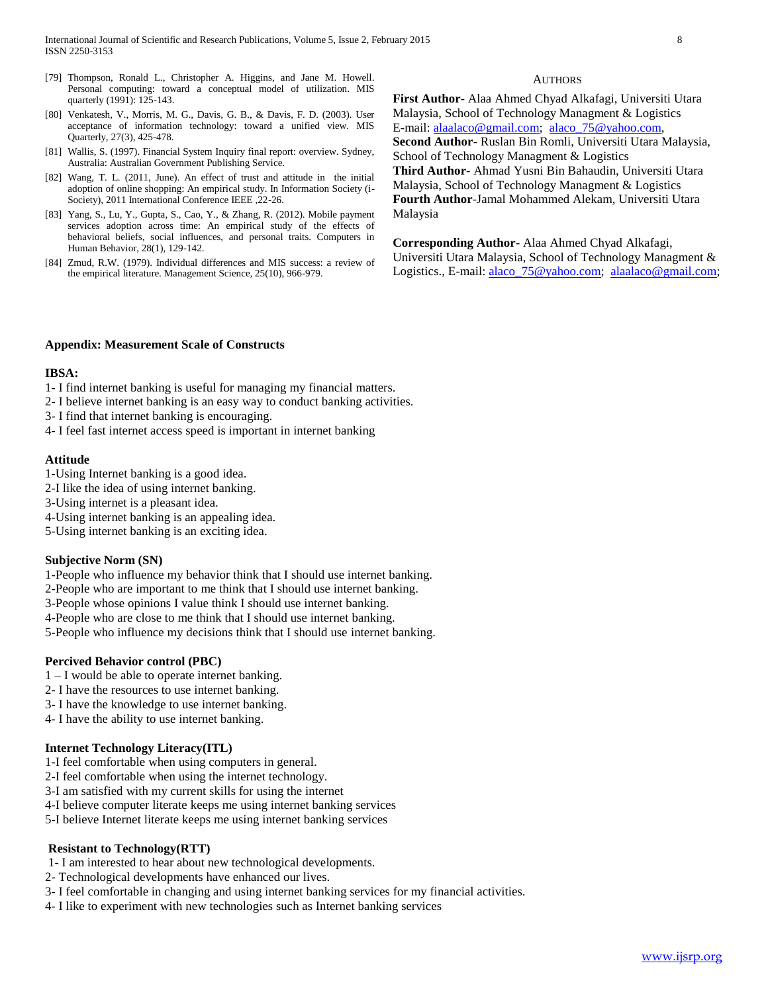- [79] Thompson, Ronald L., Christopher A. Higgins, and Jane M. Howell. Personal computing: toward a conceptual model of utilization. MIS quarterly (1991): 125-143.
- [80] Venkatesh, V., Morris, M. G., Davis, G. B., & Davis, F. D. (2003). User acceptance of information technology: toward a unified view. MIS Quarterly, 27(3), 425-478.
- [81] Wallis, S. (1997). Financial System Inquiry final report: overview. Sydney, Australia: Australian Government Publishing Service.
- [82] Wang, T. L. (2011, June). An effect of trust and attitude in the initial adoption of online shopping: An empirical study. In Information Society (i-Society), 2011 International Conference IEEE ,22-26.
- [83] Yang, S., Lu, Y., Gupta, S., Cao, Y., & Zhang, R. (2012). Mobile payment services adoption across time: An empirical study of the effects of behavioral beliefs, social influences, and personal traits. Computers in Human Behavior, 28(1), 129-142.
- [84] Zmud, R.W. (1979). Individual differences and MIS success: a review of the empirical literature. Management Science, 25(10), 966-979.

#### **AUTHORS**

**First Author-** Alaa Ahmed Chyad Alkafagi, Universiti Utara Malaysia, School of Technology Managment & Logistics E-mail[: alaalaco@gmail.com;](mailto:alaalaco@gmail.com) [alaco\\_75@yahoo.com,](mailto:alaco_75@yahoo.com)  **Second Author**- Ruslan Bin Romli, Universiti Utara Malaysia, School of Technology Managment & Logistics **Third Author**- Ahmad Yusni Bin Bahaudin, Universiti Utara Malaysia, School of Technology Managment & Logistics **Fourth Author**-Jamal Mohammed Alekam, Universiti Utara Malaysia

**Corresponding Author-** Alaa Ahmed Chyad Alkafagi, Universiti Utara Malaysia, School of Technology Managment & Logistics., E-mail: alaco 75@yahoo.com; [alaalaco@gmail.com;](mailto:alaalaco@gmail.com)

## **Appendix: Measurement Scale of Constructs**

#### **IBSA:**

- 1- I find internet banking is useful for managing my financial matters.
- 2- I believe internet banking is an easy way to conduct banking activities.
- 3- I find that internet banking is encouraging.
- 4- I feel fast internet access speed is important in internet banking

### **Attitude**

- 1-Using Internet banking is a good idea.
- 2-I like the idea of using internet banking.
- 3-Using internet is a pleasant idea.
- 4-Using internet banking is an appealing idea.
- 5-Using internet banking is an exciting idea.

#### **Subjective Norm (SN)**

- 1-People who influence my behavior think that I should use internet banking.
- 2-People who are important to me think that I should use internet banking.
- 3-People whose opinions I value think I should use internet banking.
- 4-People who are close to me think that I should use internet banking.
- 5-People who influence my decisions think that I should use internet banking.

### **Percived Behavior control (PBC)**

- 1 I would be able to operate internet banking.
- 2- I have the resources to use internet banking.
- 3- I have the knowledge to use internet banking.
- 4- I have the ability to use internet banking.

## **Internet Technology Literacy(ITL)**

- 1-I feel comfortable when using computers in general.
- 2-I feel comfortable when using the internet technology.
- 3-I am satisfied with my current skills for using the internet
- 4-I believe computer literate keeps me using internet banking services
- 5-I believe Internet literate keeps me using internet banking services

#### **Resistant to Technology(RTT)**

- 1- I am interested to hear about new technological developments.
- 2- Technological developments have enhanced our lives.
- 3- I feel comfortable in changing and using internet banking services for my financial activities.
- 4- I like to experiment with new technologies such as Internet banking services